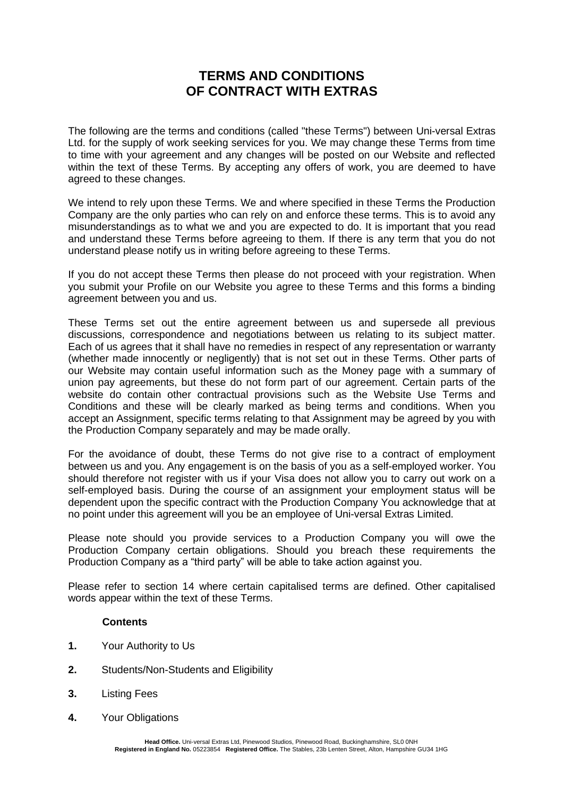# **TERMS AND CONDITIONS OF CONTRACT WITH EXTRAS**

The following are the terms and conditions (called "these Terms") between Uni-versal Extras Ltd. for the supply of work seeking services for you. We may change these Terms from time to time with your agreement and any changes will be posted on our Website and reflected within the text of these Terms. By accepting any offers of work, you are deemed to have agreed to these changes.

We intend to rely upon these Terms. We and where specified in these Terms the Production Company are the only parties who can rely on and enforce these terms. This is to avoid any misunderstandings as to what we and you are expected to do. It is important that you read and understand these Terms before agreeing to them. If there is any term that you do not understand please notify us in writing before agreeing to these Terms.

If you do not accept these Terms then please do not proceed with your registration. When you submit your Profile on our Website you agree to these Terms and this forms a binding agreement between you and us.

These Terms set out the entire agreement between us and supersede all previous discussions, correspondence and negotiations between us relating to its subject matter. Each of us agrees that it shall have no remedies in respect of any representation or warranty (whether made innocently or negligently) that is not set out in these Terms. Other parts of our Website may contain useful information such as the Money page with a summary of union pay agreements, but these do not form part of our agreement. Certain parts of the website do contain other contractual provisions such as the Website Use Terms and Conditions and these will be clearly marked as being terms and conditions. When you accept an Assignment, specific terms relating to that Assignment may be agreed by you with the Production Company separately and may be made orally.

For the avoidance of doubt, these Terms do not give rise to a contract of employment between us and you. Any engagement is on the basis of you as a self-employed worker. You should therefore not register with us if your Visa does not allow you to carry out work on a self-employed basis. During the course of an assignment your employment status will be dependent upon the specific contract with the Production Company You acknowledge that at no point under this agreement will you be an employee of Uni-versal Extras Limited.

Please note should you provide services to a Production Company you will owe the Production Company certain obligations. Should you breach these requirements the Production Company as a "third party" will be able to take action against you.

Please refer to section 14 where certain capitalised terms are defined. Other capitalised words appear within the text of these Terms.

#### **Contents**

- **1.** Your Authority to Us
- **2.** Students/Non-Students and Eligibility
- **3.** Listing Fees
- **4.** Your Obligations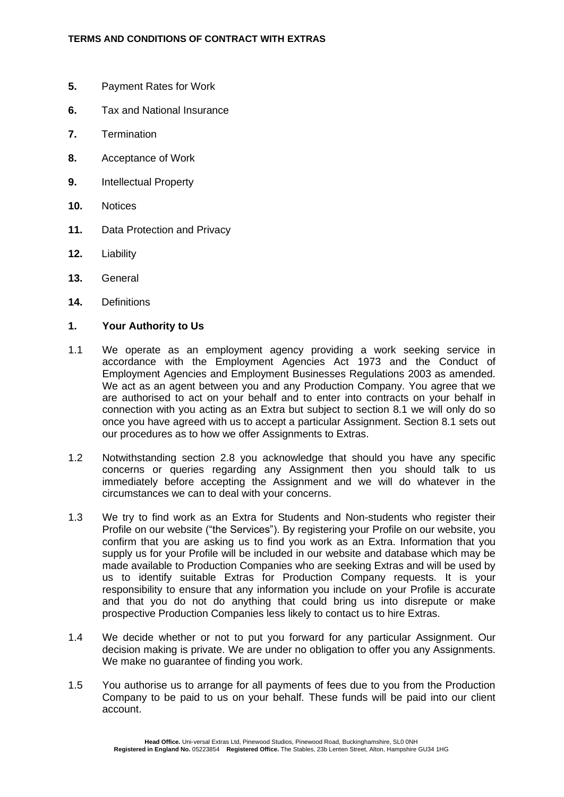- **5.** Payment Rates for Work
- **6.** Tax and National Insurance
- **7.** Termination
- **8.** Acceptance of Work
- **9.** Intellectual Property
- **10.** Notices
- **11.** Data Protection and Privacy
- **12.** Liability
- **13.** General
- **14.** Definitions

#### **1. Your Authority to Us**

- 1.1 We operate as an employment agency providing a work seeking service in accordance with the Employment Agencies Act 1973 and the Conduct of Employment Agencies and Employment Businesses Regulations 2003 as amended. We act as an agent between you and any Production Company. You agree that we are authorised to act on your behalf and to enter into contracts on your behalf in connection with you acting as an Extra but subject to section 8.1 we will only do so once you have agreed with us to accept a particular Assignment. Section 8.1 sets out our procedures as to how we offer Assignments to Extras.
- 1.2 Notwithstanding section 2.8 you acknowledge that should you have any specific concerns or queries regarding any Assignment then you should talk to us immediately before accepting the Assignment and we will do whatever in the circumstances we can to deal with your concerns.
- 1.3 We try to find work as an Extra for Students and Non-students who register their Profile on our website ("the Services"). By registering your Profile on our website, you confirm that you are asking us to find you work as an Extra. Information that you supply us for your Profile will be included in our website and database which may be made available to Production Companies who are seeking Extras and will be used by us to identify suitable Extras for Production Company requests. It is your responsibility to ensure that any information you include on your Profile is accurate and that you do not do anything that could bring us into disrepute or make prospective Production Companies less likely to contact us to hire Extras.
- 1.4 We decide whether or not to put you forward for any particular Assignment. Our decision making is private. We are under no obligation to offer you any Assignments. We make no guarantee of finding you work.
- 1.5 You authorise us to arrange for all payments of fees due to you from the Production Company to be paid to us on your behalf. These funds will be paid into our client account.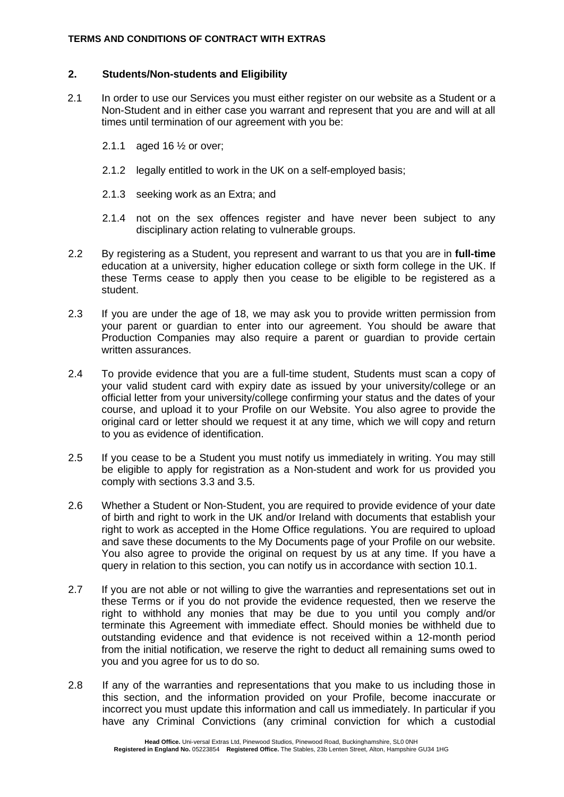#### **TERMS AND CONDITIONS OF CONTRACT WITH EXTRAS**

#### **2. Students/Non-students and Eligibility**

- 2.1 In order to use our Services you must either register on our website as a Student or a Non-Student and in either case you warrant and represent that you are and will at all times until termination of our agreement with you be:
	- 2.1.1 aged 16 ½ or over;
	- 2.1.2 legally entitled to work in the UK on a self-employed basis;
	- 2.1.3 seeking work as an Extra; and
	- 2.1.4 not on the sex offences register and have never been subject to any disciplinary action relating to vulnerable groups.
- 2.2 By registering as a Student, you represent and warrant to us that you are in **full-time** education at a university, higher education college or sixth form college in the UK. If these Terms cease to apply then you cease to be eligible to be registered as a student.
- 2.3 If you are under the age of 18, we may ask you to provide written permission from your parent or guardian to enter into our agreement. You should be aware that Production Companies may also require a parent or guardian to provide certain written assurances.
- 2.4 To provide evidence that you are a full-time student, Students must scan a copy of your valid student card with expiry date as issued by your university/college or an official letter from your university/college confirming your status and the dates of your course, and upload it to your Profile on our Website. You also agree to provide the original card or letter should we request it at any time, which we will copy and return to you as evidence of identification.
- 2.5 If you cease to be a Student you must notify us immediately in writing. You may still be eligible to apply for registration as a Non-student and work for us provided you comply with sections 3.3 and 3.5.
- 2.6 Whether a Student or Non-Student, you are required to provide evidence of your date of birth and right to work in the UK and/or Ireland with documents that establish your right to work as accepted in the Home Office regulations. You are required to upload and save these documents to the My Documents page of your Profile on our website. You also agree to provide the original on request by us at any time. If you have a query in relation to this section, you can notify us in accordance with section 10.1.
- 2.7 If you are not able or not willing to give the warranties and representations set out in these Terms or if you do not provide the evidence requested, then we reserve the right to withhold any monies that may be due to you until you comply and/or terminate this Agreement with immediate effect. Should monies be withheld due to outstanding evidence and that evidence is not received within a 12-month period from the initial notification, we reserve the right to deduct all remaining sums owed to you and you agree for us to do so.
- 2.8 If any of the warranties and representations that you make to us including those in this section, and the information provided on your Profile, become inaccurate or incorrect you must update this information and call us immediately. In particular if you have any Criminal Convictions (any criminal conviction for which a custodial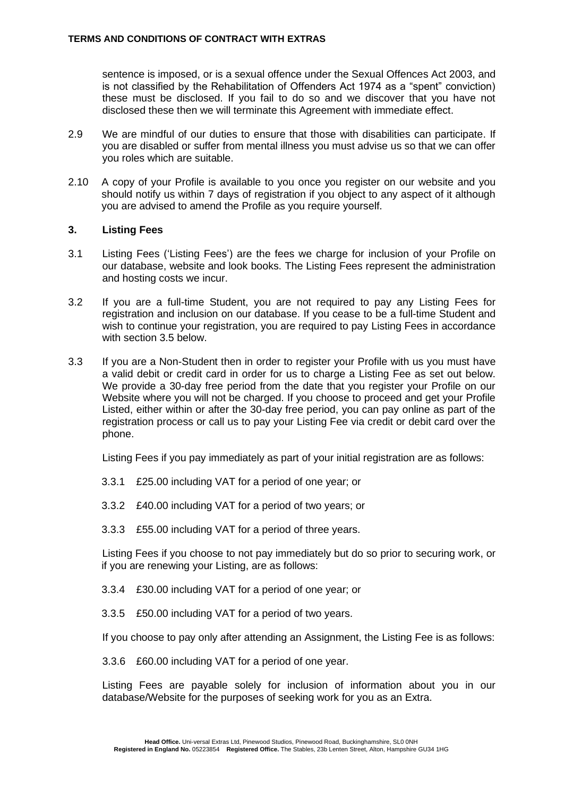<span id="page-3-0"></span>sentence is imposed, or is a sexual offence under the Sexual Offences Act 2003, and is not classified by the Rehabilitation of Offenders Act 1974 as a "spent" conviction) these must be disclosed. If you fail to do so and we discover that you have not disclosed these then we will terminate this Agreement with immediate effect.

- 2.9 We are mindful of our duties to ensure that those with disabilities can participate. If you are disabled or suffer from mental illness you must advise us so that we can offer you roles which are suitable.
- 2.10 A copy of your Profile is available to you once you register on our website and you should notify us within 7 days of registration if you object to any aspect of it although you are advised to amend the Profile as you require yourself.

#### **3. Listing Fees**

- 3.1 Listing Fees ('Listing Fees') are the fees we charge for inclusion of your Profile on our database, website and look books. The Listing Fees represent the administration and hosting costs we incur.
- 3.2 If you are a full-time Student, you are not required to pay any Listing Fees for registration and inclusion on our database. If you cease to be a full-time Student and wish to continue your registration, you are required to pay Listing Fees in accordance with section 3.5 below.
- 3.3 If you are a Non-Student then in order to register your Profile with us you must have a valid debit or credit card in order for us to charge a Listing Fee as set out below. We provide a 30-day free period from the date that you register your Profile on our Website where you will not be charged. If you choose to proceed and get your Profile Listed, either within or after the 30-day free period, you can pay online as part of the registration process or call us to pay your Listing Fee via credit or debit card over the phone.

Listing Fees if you pay immediately as part of your initial registration are as follows:

- 3.3.1 £25.00 including VAT for a period of one year; or
- 3.3.2 £40.00 including VAT for a period of two years; or
- 3.3.3 £55.00 including VAT for a period of three years.

Listing Fees if you choose to not pay immediately but do so prior to securing work, or if you are renewing your Listing, are as follows:

- 3.3.4 £30.00 including VAT for a period of one year; or
- 3.3.5 £50.00 including VAT for a period of two years.

If you choose to pay only after attending an Assignment, the Listing Fee is as follows:

3.3.6 £60.00 including VAT for a period of one year.

Listing Fees are payable solely for inclusion of information about you in our database/Website for the purposes of seeking work for you as an Extra.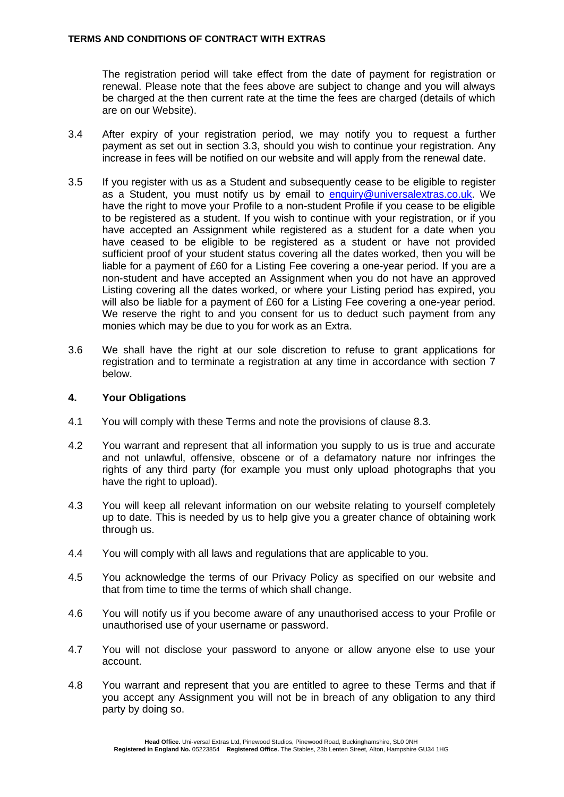The registration period will take effect from the date of payment for registration or renewal. Please note that the fees above are subject to change and you will always be charged at the then current rate at the time the fees are charged (details of which are on our Website).

- 3.4 After expiry of your registration period, we may notify you to request a further payment as set out in section 3.3, should you wish to continue your registration. Any increase in fees will be notified on our website and will apply from the renewal date.
- 3.5 If you register with us as a Student and subsequently cease to be eligible to register as a Student, you must notify us by email to [enquiry@universalextras.co.uk.](mailto:enquiry@universalextras.co.uk) We have the right to move your Profile to a non-student Profile if you cease to be eligible to be registered as a student. If you wish to continue with your registration, or if you have accepted an Assignment while registered as a student for a date when you have ceased to be eligible to be registered as a student or have not provided sufficient proof of your student status covering all the dates worked, then you will be liable for a payment of £60 for a Listing Fee covering a one-year period. If you are a non-student and have accepted an Assignment when you do not have an approved Listing covering all the dates worked, or where your Listing period has expired, you will also be liable for a payment of £60 for a Listing Fee covering a one-year period. We reserve the right to and you consent for us to deduct such payment from any monies which may be due to you for work as an Extra.
- 3.6 We shall have the right at our sole discretion to refuse to grant applications for registration and to terminate a registration at any time in accordance with section 7 below.

### **4. Your Obligations**

- 4.1 You will comply with these Terms and note the provisions of clause 8.3.
- 4.2 You warrant and represent that all information you supply to us is true and accurate and not unlawful, offensive, obscene or of a defamatory nature nor infringes the rights of any third party (for example you must only upload photographs that you have the right to upload).
- 4.3 You will keep all relevant information on our website relating to yourself completely up to date. This is needed by us to help give you a greater chance of obtaining work through us.
- 4.4 You will comply with all laws and regulations that are applicable to you.
- 4.5 You acknowledge the terms of our Privacy Policy as specified on our website and that from time to time the terms of which shall change.
- 4.6 You will notify us if you become aware of any unauthorised access to your Profile or unauthorised use of your username or password.
- 4.7 You will not disclose your password to anyone or allow anyone else to use your account.
- 4.8 You warrant and represent that you are entitled to agree to these Terms and that if you accept any Assignment you will not be in breach of any obligation to any third party by doing so.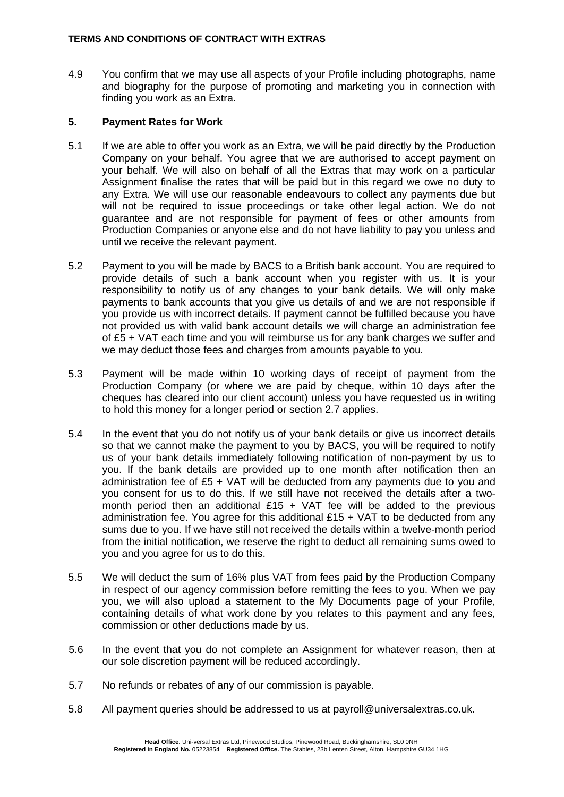4.9 You confirm that we may use all aspects of your Profile including photographs, name and biography for the purpose of promoting and marketing you in connection with finding you work as an Extra.

### **5. Payment Rates for Work**

- 5.1 If we are able to offer you work as an Extra, we will be paid directly by the Production Company on your behalf. You agree that we are authorised to accept payment on your behalf. We will also on behalf of all the Extras that may work on a particular Assignment finalise the rates that will be paid but in this regard we owe no duty to any Extra. We will use our reasonable endeavours to collect any payments due but will not be required to issue proceedings or take other legal action. We do not guarantee and are not responsible for payment of fees or other amounts from Production Companies or anyone else and do not have liability to pay you unless and until we receive the relevant payment.
- 5.2 Payment to you will be made by BACS to a British bank account. You are required to provide details of such a bank account when you register with us. It is your responsibility to notify us of any changes to your bank details. We will only make payments to bank accounts that you give us details of and we are not responsible if you provide us with incorrect details. If payment cannot be fulfilled because you have not provided us with valid bank account details we will charge an administration fee of £5 + VAT each time and you will reimburse us for any bank charges we suffer and we may deduct those fees and charges from amounts payable to you*.*
- 5.3 Payment will be made within 10 working days of receipt of payment from the Production Company (or where we are paid by cheque, within 10 days after the cheques has cleared into our client account) unless you have requested us in writing to hold this money for a longer period or section 2.7 applies.
- 5.4 In the event that you do not notify us of your bank details or give us incorrect details so that we cannot make the payment to you by BACS, you will be required to notify us of your bank details immediately following notification of non-payment by us to you. If the bank details are provided up to one month after notification then an administration fee of  $£5 + VAT$  will be deducted from any payments due to you and you consent for us to do this. If we still have not received the details after a twomonth period then an additional  $£15 + VAT$  fee will be added to the previous administration fee. You agree for this additional  $£15 + \sqrt{AT}$  to be deducted from any sums due to you. If we have still not received the details within a twelve-month period from the initial notification, we reserve the right to deduct all remaining sums owed to you and you agree for us to do this.
- 5.5 We will deduct the sum of 16% plus VAT from fees paid by the Production Company in respect of our agency commission before remitting the fees to you. When we pay you, we will also upload a statement to the My Documents page of your Profile, containing details of what work done by you relates to this payment and any fees, commission or other deductions made by us.
- 5.6 In the event that you do not complete an Assignment for whatever reason, then at our sole discretion payment will be reduced accordingly.
- 5.7 No refunds or rebates of any of our commission is payable.
- 5.8 All payment queries should be addressed to us at payroll@universalextras.co.uk.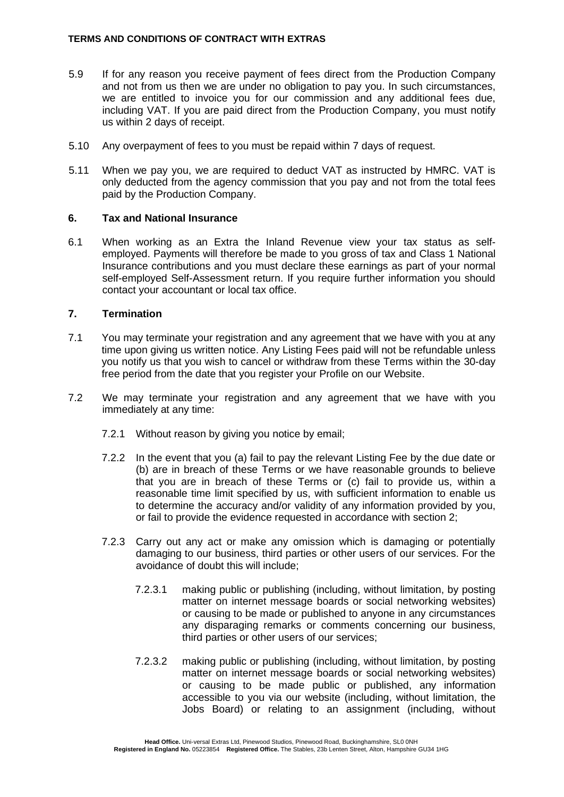- 5.9 If for any reason you receive payment of fees direct from the Production Company and not from us then we are under no obligation to pay you. In such circumstances, we are entitled to invoice you for our commission and any additional fees due, including VAT. If you are paid direct from the Production Company, you must notify us within 2 days of receipt.
- 5.10 Any overpayment of fees to you must be repaid within 7 days of request.
- 5.11 When we pay you, we are required to deduct VAT as instructed by HMRC. VAT is only deducted from the agency commission that you pay and not from the total fees paid by the Production Company.

#### **6. Tax and National Insurance**

6.1 When working as an Extra the Inland Revenue view your tax status as selfemployed. Payments will therefore be made to you gross of tax and Class 1 National Insurance contributions and you must declare these earnings as part of your normal self-employed Self-Assessment return. If you require further information you should contact your accountant or local tax office.

# **7. Termination**

- 7.1 You may terminate your registration and any agreement that we have with you at any time upon giving us written notice. Any Listing Fees paid will not be refundable unless you notify us that you wish to cancel or withdraw from these Terms within the 30-day free period from the date that you register your Profile on our Website.
- 7.2 We may terminate your registration and any agreement that we have with you immediately at any time:
	- 7.2.1 Without reason by giving you notice by email;
	- 7.2.2 In the event that you (a) fail to pay the relevant Listing Fee by the due date or (b) are in breach of these Terms or we have reasonable grounds to believe that you are in breach of these Terms or (c) fail to provide us, within a reasonable time limit specified by us, with sufficient information to enable us to determine the accuracy and/or validity of any information provided by you, or fail to provide the evidence requested in accordance with section 2;
	- 7.2.3 Carry out any act or make any omission which is damaging or potentially damaging to our business, third parties or other users of our services. For the avoidance of doubt this will include;
		- 7.2.3.1 making public or publishing (including, without limitation, by posting matter on internet message boards or social networking websites) or causing to be made or published to anyone in any circumstances any disparaging remarks or comments concerning our business, third parties or other users of our services;
		- 7.2.3.2 making public or publishing (including, without limitation, by posting matter on internet message boards or social networking websites) or causing to be made public or published, any information accessible to you via our website (including, without limitation, the Jobs Board) or relating to an assignment (including, without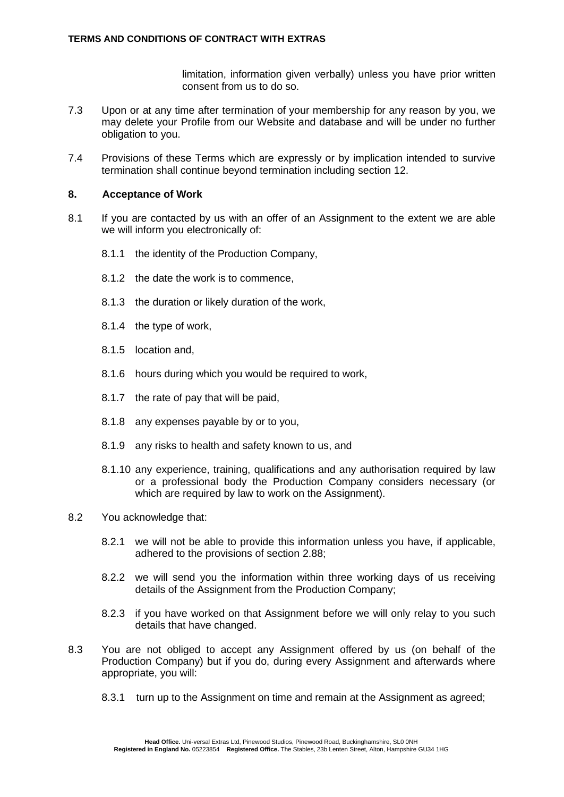limitation, information given verbally) unless you have prior written consent from us to do so.

- 7.3 Upon or at any time after termination of your membership for any reason by you, we may delete your Profile from our Website and database and will be under no further obligation to you.
- 7.4 Provisions of these Terms which are expressly or by implication intended to survive termination shall continue beyond termination including section 12.

### **8. Acceptance of Work**

- 8.1 If you are contacted by us with an offer of an Assignment to the extent we are able we will inform you electronically of:
	- 8.1.1 the identity of the Production Company,
	- 8.1.2 the date the work is to commence,
	- 8.1.3 the duration or likely duration of the work,
	- 8.1.4 the type of work,
	- 8.1.5 location and,
	- 8.1.6 hours during which you would be required to work,
	- 8.1.7 the rate of pay that will be paid,
	- 8.1.8 any expenses payable by or to you,
	- 8.1.9 any risks to health and safety known to us, and
	- 8.1.10 any experience, training, qualifications and any authorisation required by law or a professional body the Production Company considers necessary (or which are required by law to work on the Assignment).
- 8.2 You acknowledge that:
	- 8.2.1 we will not be able to provide this information unless you have, if applicable, adhered to the provisions of section [2.88](#page-3-0);
	- 8.2.2 we will send you the information within three working days of us receiving details of the Assignment from the Production Company;
	- 8.2.3 if you have worked on that Assignment before we will only relay to you such details that have changed.
- 8.3 You are not obliged to accept any Assignment offered by us (on behalf of the Production Company) but if you do, during every Assignment and afterwards where appropriate, you will:
	- 8.3.1 turn up to the Assignment on time and remain at the Assignment as agreed;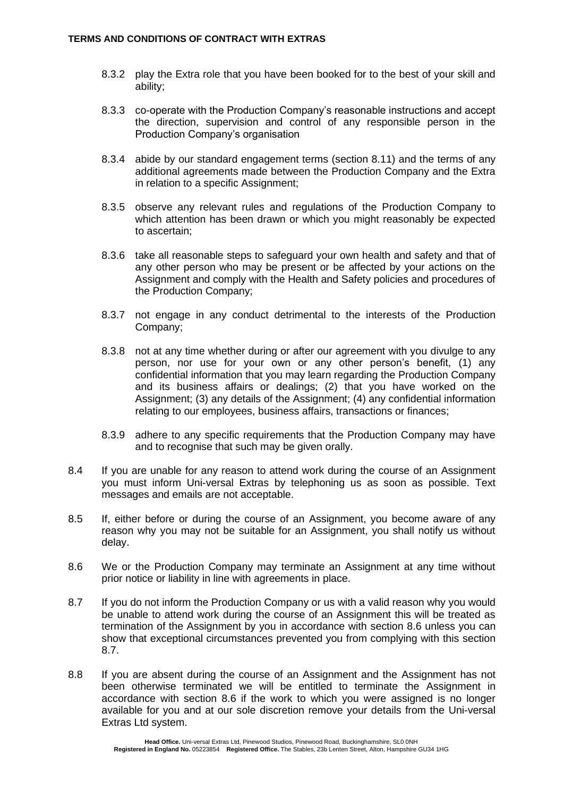- 8.3.2 play the Extra role that you have been booked for to the best of your skill and ability;
- 8.3.3 co-operate with the Production Company's reasonable instructions and accept the direction, supervision and control of any responsible person in the Production Company's organisation
- 8.3.4 abide by our standard engagement terms (section 8.11) and the terms of any additional agreements made between the Production Company and the Extra in relation to a specific Assignment;
- 8.3.5 observe any relevant rules and regulations of the Production Company to which attention has been drawn or which you might reasonably be expected to ascertain;
- 8.3.6 take all reasonable steps to safeguard your own health and safety and that of any other person who may be present or be affected by your actions on the Assignment and comply with the Health and Safety policies and procedures of the Production Company;
- 8.3.7 not engage in any conduct detrimental to the interests of the Production Company;
- 8.3.8 not at any time whether during or after our agreement with you divulge to any person, nor use for your own or any other person's benefit, (1) any confidential information that you may learn regarding the Production Company and its business affairs or dealings; (2) that you have worked on the Assignment; (3) any details of the Assignment; (4) any confidential information relating to our employees, business affairs, transactions or finances;
- 8.3.9 adhere to any specific requirements that the Production Company may have and to recognise that such may be given orally.
- 8.4 If you are unable for any reason to attend work during the course of an Assignment you must inform Uni-versal Extras by telephoning us as soon as possible. Text messages and emails are not acceptable.
- 8.5 If, either before or during the course of an Assignment, you become aware of any reason why you may not be suitable for an Assignment, you shall notify us without delay.
- 8.6 We or the Production Company may terminate an Assignment at any time without prior notice or liability in line with agreements in place.
- 8.7 If you do not inform the Production Company or us with a valid reason why you would be unable to attend work during the course of an Assignment this will be treated as termination of the Assignment by you in accordance with section 8.6 unless you can show that exceptional circumstances prevented you from complying with this section 8.7.
- 8.8 If you are absent during the course of an Assignment and the Assignment has not been otherwise terminated we will be entitled to terminate the Assignment in accordance with section 8.6 if the work to which you were assigned is no longer available for you and at our sole discretion remove your details from the Uni-versal Extras Ltd system.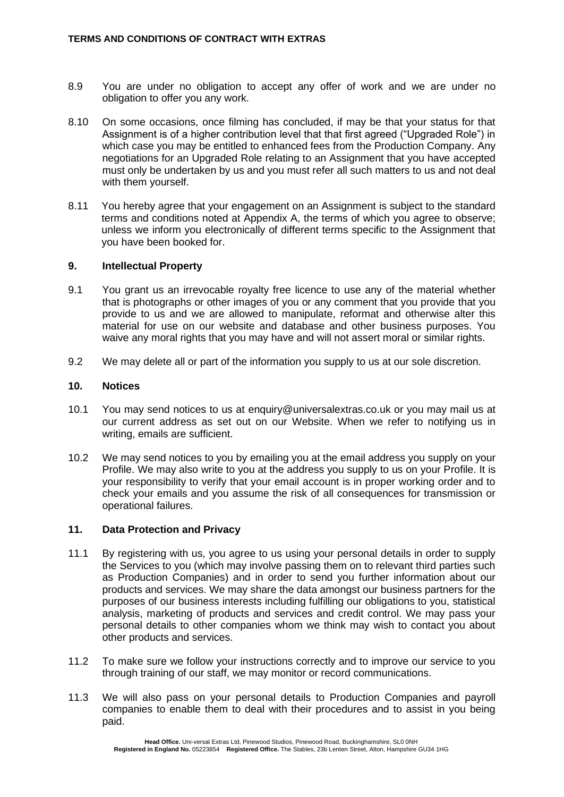- 8.9 You are under no obligation to accept any offer of work and we are under no obligation to offer you any work.
- 8.10 On some occasions, once filming has concluded, if may be that your status for that Assignment is of a higher contribution level that that first agreed ("Upgraded Role") in which case you may be entitled to enhanced fees from the Production Company. Any negotiations for an Upgraded Role relating to an Assignment that you have accepted must only be undertaken by us and you must refer all such matters to us and not deal with them yourself.
- 8.11 You hereby agree that your engagement on an Assignment is subject to the standard terms and conditions noted at Appendix A, the terms of which you agree to observe; unless we inform you electronically of different terms specific to the Assignment that you have been booked for.

#### **9. Intellectual Property**

- 9.1 You grant us an irrevocable royalty free licence to use any of the material whether that is photographs or other images of you or any comment that you provide that you provide to us and we are allowed to manipulate, reformat and otherwise alter this material for use on our website and database and other business purposes. You waive any moral rights that you may have and will not assert moral or similar rights.
- 9.2 We may delete all or part of the information you supply to us at our sole discretion.

#### **10. Notices**

- 10.1 You may send notices to us at enquiry@universalextras.co.uk or you may mail us at our current address as set out on our Website. When we refer to notifying us in writing, emails are sufficient.
- 10.2 We may send notices to you by emailing you at the email address you supply on your Profile. We may also write to you at the address you supply to us on your Profile. It is your responsibility to verify that your email account is in proper working order and to check your emails and you assume the risk of all consequences for transmission or operational failures.

# **11. Data Protection and Privacy**

- 11.1 By registering with us, you agree to us using your personal details in order to supply the Services to you (which may involve passing them on to relevant third parties such as Production Companies) and in order to send you further information about our products and services. We may share the data amongst our business partners for the purposes of our business interests including fulfilling our obligations to you, statistical analysis, marketing of products and services and credit control. We may pass your personal details to other companies whom we think may wish to contact you about other products and services.
- 11.2 To make sure we follow your instructions correctly and to improve our service to you through training of our staff, we may monitor or record communications.
- 11.3 We will also pass on your personal details to Production Companies and payroll companies to enable them to deal with their procedures and to assist in you being paid.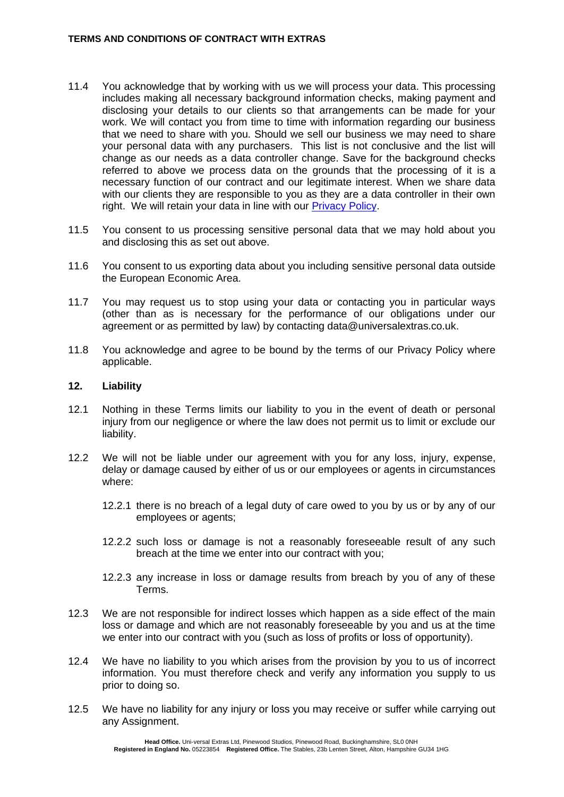- 11.4 You acknowledge that by working with us we will process your data. This processing includes making all necessary background information checks, making payment and disclosing your details to our clients so that arrangements can be made for your work. We will contact you from time to time with information regarding our business that we need to share with you. Should we sell our business we may need to share your personal data with any purchasers. This list is not conclusive and the list will change as our needs as a data controller change. Save for the background checks referred to above we process data on the grounds that the processing of it is a necessary function of our contract and our legitimate interest. When we share data with our clients they are responsible to you as they are a data controller in their own right. We will retain your data in line with our [Privacy Policy.](https://www.universalextras.co.uk/download_file/1526)
- 11.5 You consent to us processing sensitive personal data that we may hold about you and disclosing this as set out above.
- 11.6 You consent to us exporting data about you including sensitive personal data outside the European Economic Area.
- 11.7 You may request us to stop using your data or contacting you in particular ways (other than as is necessary for the performance of our obligations under our agreement or as permitted by law) by contacting data@universalextras.co.uk.
- 11.8 You acknowledge and agree to be bound by the terms of our Privacy Policy where applicable.

#### **12. Liability**

- 12.1 Nothing in these Terms limits our liability to you in the event of death or personal injury from our negligence or where the law does not permit us to limit or exclude our liability.
- 12.2 We will not be liable under our agreement with you for any loss, injury, expense, delay or damage caused by either of us or our employees or agents in circumstances where:
	- 12.2.1 there is no breach of a legal duty of care owed to you by us or by any of our employees or agents;
	- 12.2.2 such loss or damage is not a reasonably foreseeable result of any such breach at the time we enter into our contract with you;
	- 12.2.3 any increase in loss or damage results from breach by you of any of these Terms.
- 12.3 We are not responsible for indirect losses which happen as a side effect of the main loss or damage and which are not reasonably foreseeable by you and us at the time we enter into our contract with you (such as loss of profits or loss of opportunity).
- 12.4 We have no liability to you which arises from the provision by you to us of incorrect information. You must therefore check and verify any information you supply to us prior to doing so.
- 12.5 We have no liability for any injury or loss you may receive or suffer while carrying out any Assignment.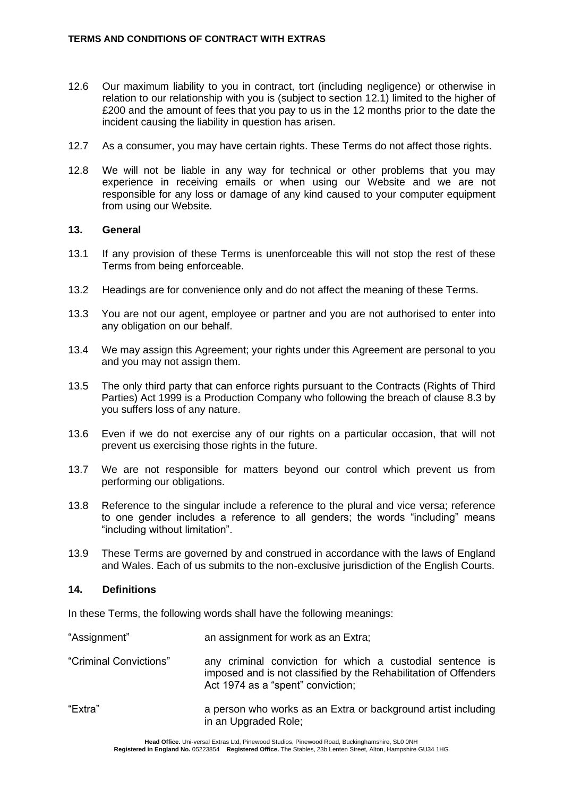- 12.6 Our maximum liability to you in contract, tort (including negligence) or otherwise in relation to our relationship with you is (subject to section 12.1) limited to the higher of £200 and the amount of fees that you pay to us in the 12 months prior to the date the incident causing the liability in question has arisen.
- 12.7 As a consumer, you may have certain rights. These Terms do not affect those rights.
- 12.8 We will not be liable in any way for technical or other problems that you may experience in receiving emails or when using our Website and we are not responsible for any loss or damage of any kind caused to your computer equipment from using our Website.

#### **13. General**

- 13.1 If any provision of these Terms is unenforceable this will not stop the rest of these Terms from being enforceable.
- 13.2 Headings are for convenience only and do not affect the meaning of these Terms.
- 13.3 You are not our agent, employee or partner and you are not authorised to enter into any obligation on our behalf.
- 13.4 We may assign this Agreement; your rights under this Agreement are personal to you and you may not assign them.
- 13.5 The only third party that can enforce rights pursuant to the Contracts (Rights of Third Parties) Act 1999 is a Production Company who following the breach of clause 8.3 by you suffers loss of any nature.
- 13.6 Even if we do not exercise any of our rights on a particular occasion, that will not prevent us exercising those rights in the future.
- 13.7 We are not responsible for matters beyond our control which prevent us from performing our obligations.
- 13.8 Reference to the singular include a reference to the plural and vice versa; reference to one gender includes a reference to all genders; the words "including" means "including without limitation".
- 13.9 These Terms are governed by and construed in accordance with the laws of England and Wales. Each of us submits to the non-exclusive jurisdiction of the English Courts.

# **14. Definitions**

In these Terms, the following words shall have the following meanings:

| "Assignment"           | an assignment for work as an Extra;                                                                                                                                |
|------------------------|--------------------------------------------------------------------------------------------------------------------------------------------------------------------|
| "Criminal Convictions" | any criminal conviction for which a custodial sentence is<br>imposed and is not classified by the Rehabilitation of Offenders<br>Act 1974 as a "spent" conviction; |
| "Extra"                | a person who works as an Extra or background artist including<br>in an Upgraded Role;                                                                              |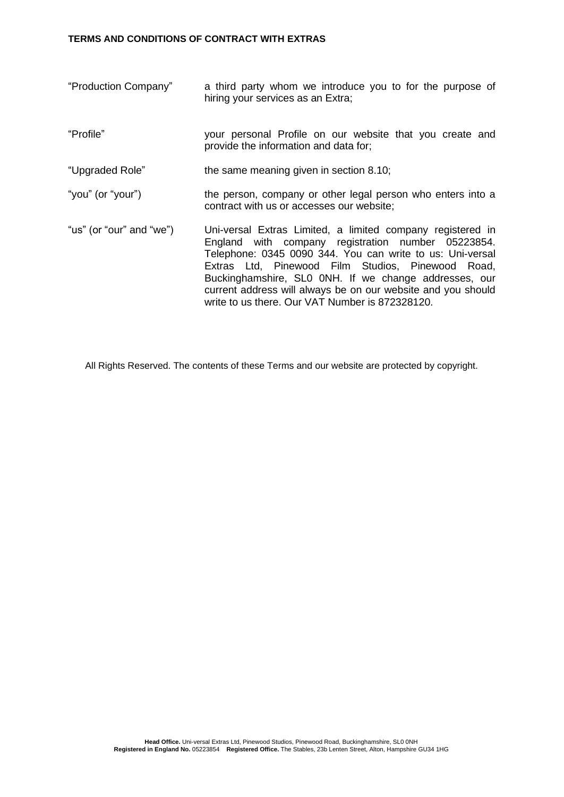#### **TERMS AND CONDITIONS OF CONTRACT WITH EXTRAS**

- "Production Company" a third party whom we introduce you to for the purpose of hiring your services as an Extra;
- "Profile" your personal Profile on our website that you create and provide the information and data for;

"Upgraded Role" the same meaning given in section 8.10;

- "you" (or "your") the person, company or other legal person who enters into a contract with us or accesses our website;
- "us" (or "our" and "we") Uni-versal Extras Limited, a limited company registered in England with company registration number 05223854. Telephone: 0345 0090 344. You can write to us: Uni-versal Extras Ltd, Pinewood Film Studios, Pinewood Road, Buckinghamshire, SL0 0NH. If we change addresses, our current address will always be on our website and you should write to us there. Our VAT Number is 872328120.

All Rights Reserved. The contents of these Terms and our website are protected by copyright.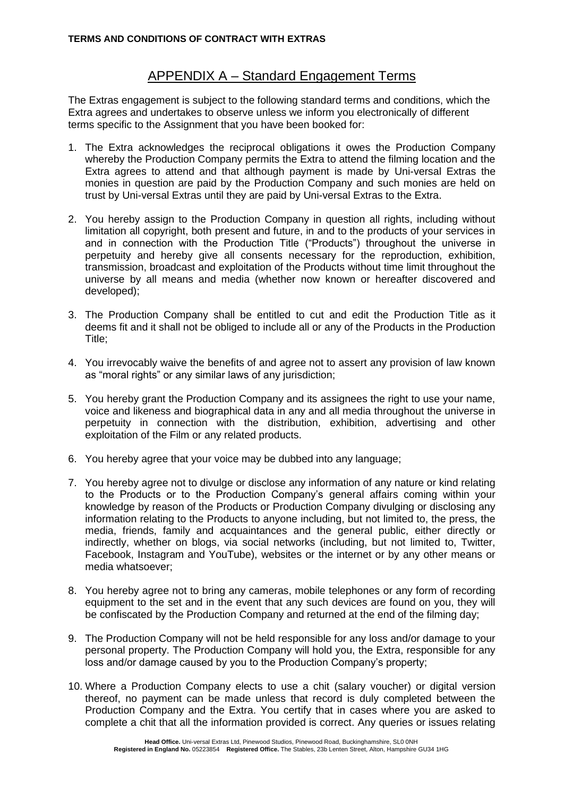# APPENDIX A – Standard Engagement Terms

The Extras engagement is subject to the following standard terms and conditions, which the Extra agrees and undertakes to observe unless we inform you electronically of different terms specific to the Assignment that you have been booked for:

- 1. The Extra acknowledges the reciprocal obligations it owes the Production Company whereby the Production Company permits the Extra to attend the filming location and the Extra agrees to attend and that although payment is made by Uni-versal Extras the monies in question are paid by the Production Company and such monies are held on trust by Uni-versal Extras until they are paid by Uni-versal Extras to the Extra.
- 2. You hereby assign to the Production Company in question all rights, including without limitation all copyright, both present and future, in and to the products of your services in and in connection with the Production Title ("Products") throughout the universe in perpetuity and hereby give all consents necessary for the reproduction, exhibition, transmission, broadcast and exploitation of the Products without time limit throughout the universe by all means and media (whether now known or hereafter discovered and developed);
- 3. The Production Company shall be entitled to cut and edit the Production Title as it deems fit and it shall not be obliged to include all or any of the Products in the Production Title;
- 4. You irrevocably waive the benefits of and agree not to assert any provision of law known as "moral rights" or any similar laws of any jurisdiction;
- 5. You hereby grant the Production Company and its assignees the right to use your name, voice and likeness and biographical data in any and all media throughout the universe in perpetuity in connection with the distribution, exhibition, advertising and other exploitation of the Film or any related products.
- 6. You hereby agree that your voice may be dubbed into any language;
- 7. You hereby agree not to divulge or disclose any information of any nature or kind relating to the Products or to the Production Company's general affairs coming within your knowledge by reason of the Products or Production Company divulging or disclosing any information relating to the Products to anyone including, but not limited to, the press, the media, friends, family and acquaintances and the general public, either directly or indirectly, whether on blogs, via social networks (including, but not limited to, Twitter, Facebook, Instagram and YouTube), websites or the internet or by any other means or media whatsoever;
- 8. You hereby agree not to bring any cameras, mobile telephones or any form of recording equipment to the set and in the event that any such devices are found on you, they will be confiscated by the Production Company and returned at the end of the filming day;
- 9. The Production Company will not be held responsible for any loss and/or damage to your personal property. The Production Company will hold you, the Extra, responsible for any loss and/or damage caused by you to the Production Company's property;
- 10. Where a Production Company elects to use a chit (salary voucher) or digital version thereof, no payment can be made unless that record is duly completed between the Production Company and the Extra. You certify that in cases where you are asked to complete a chit that all the information provided is correct. Any queries or issues relating